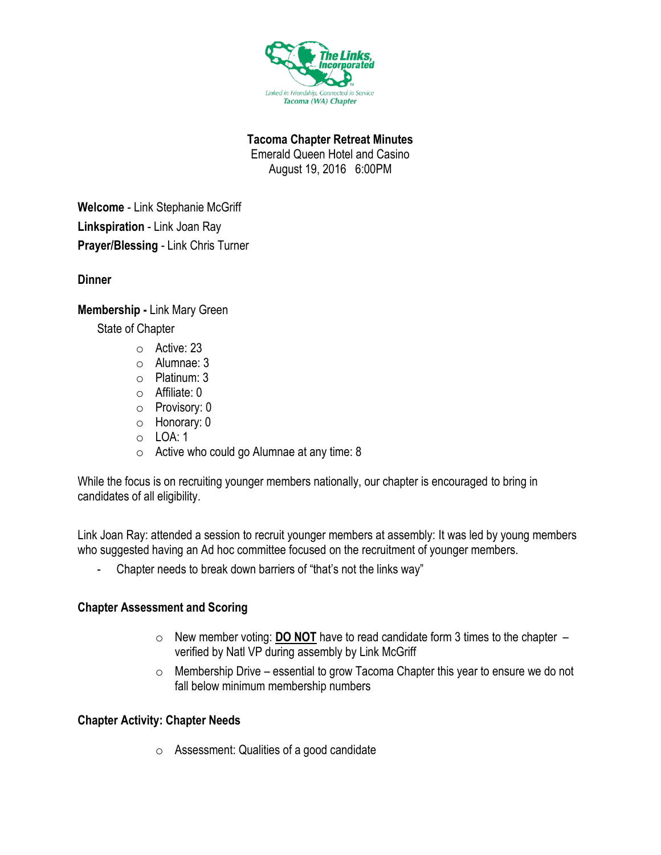

**Tacoma Chapter Retreat Minutes**

Emerald Queen Hotel and Casino

August 19, 2016 6:00PM

**Welcome** - Link Stephanie McGriff **Linkspiration** - Link Joan Ray **Prayer/Blessing** - Link Chris Turner

**Dinner**

## **Membership -** Link Mary Green

State of Chapter

- o Active: 23
- o Alumnae: 3
- o Platinum: 3
- o Affiliate: 0
- o Provisory: 0
- o Honorary: 0
- o LOA: 1
- o Active who could go Alumnae at any time: 8

While the focus is on recruiting younger members nationally, our chapter is encouraged to bring in candidates of all eligibility.

Link Joan Ray: attended a session to recruit younger members at assembly: It was led by young members who suggested having an Ad hoc committee focused on the recruitment of younger members.

- Chapter needs to break down barriers of "that's not the links way"

# **Chapter Assessment and Scoring**

- o New member voting: **DO NOT** have to read candidate form 3 times to the chapter verified by Natl VP during assembly by Link McGriff
- $\circ$  Membership Drive essential to grow Tacoma Chapter this year to ensure we do not fall below minimum membership numbers

# **Chapter Activity: Chapter Needs**

o Assessment: Qualities of a good candidate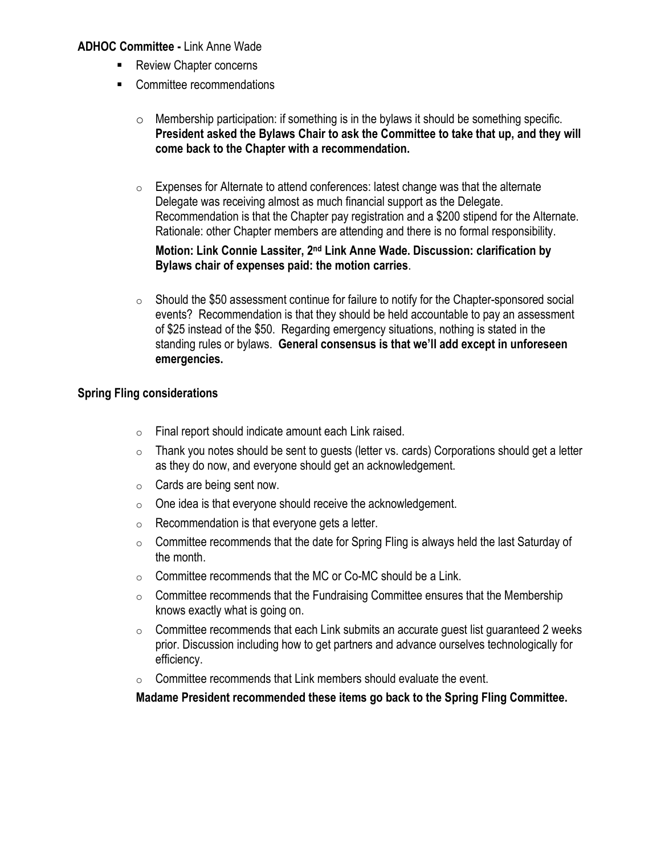#### **ADHOC Committee -** Link Anne Wade

- Review Chapter concerns
- Committee recommendations
	- o Membership participation: if something is in the bylaws it should be something specific. **President asked the Bylaws Chair to ask the Committee to take that up, and they will come back to the Chapter with a recommendation.**
	- $\circ$  Expenses for Alternate to attend conferences: latest change was that the alternate Delegate was receiving almost as much financial support as the Delegate. Recommendation is that the Chapter pay registration and a \$200 stipend for the Alternate. Rationale: other Chapter members are attending and there is no formal responsibility.

#### **Motion: Link Connie Lassiter, 2<sup>nd</sup> Link Anne Wade. Discussion: clarification by Bylaws chair of expenses paid: the motion carries**.

 $\circ$  Should the \$50 assessment continue for failure to notify for the Chapter-sponsored social events? Recommendation is that they should be held accountable to pay an assessment of \$25 instead of the \$50. Regarding emergency situations, nothing is stated in the standing rules or bylaws. **General consensus is that we'll add except in unforeseen emergencies.**

### **Spring Fling considerations**

- o Final report should indicate amount each Link raised.
- $\circ$  Thank you notes should be sent to guests (letter vs. cards) Corporations should get a letter as they do now, and everyone should get an acknowledgement.
- $\circ$  Cards are being sent now.
- $\circ$  One idea is that everyone should receive the acknowledgement.
- $\circ$  Recommendation is that everyone gets a letter.
- $\circ$  Committee recommends that the date for Spring Fling is always held the last Saturday of the month.
- $\circ$  Committee recommends that the MC or Co-MC should be a Link.
- $\circ$  Committee recommends that the Fundraising Committee ensures that the Membership knows exactly what is going on.
- $\circ$  Committee recommends that each Link submits an accurate guest list guaranteed 2 weeks prior. Discussion including how to get partners and advance ourselves technologically for efficiency.
- $\circ$  Committee recommends that Link members should evaluate the event.

**Madame President recommended these items go back to the Spring Fling Committee.**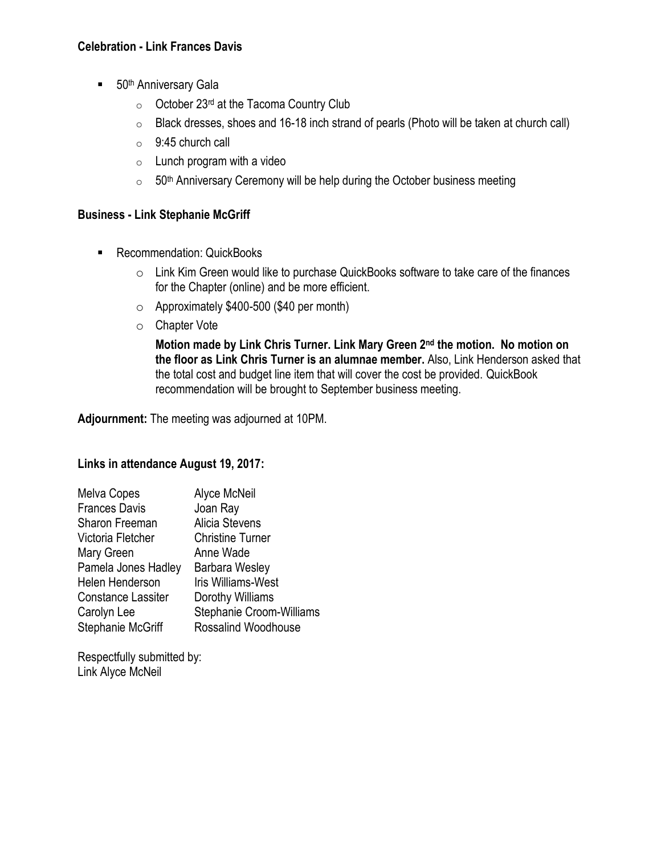### **Celebration - Link Frances Davis**

- 50<sup>th</sup> Anniversary Gala
	- $\circ$  October 23<sup>rd</sup> at the Tacoma Country Club
	- $\circ$  Black dresses, shoes and 16-18 inch strand of pearls (Photo will be taken at church call)
	- $\circ$  9:45 church call
	- $\circ$  Lunch program with a video
	- $\circ$  50<sup>th</sup> Anniversary Ceremony will be help during the October business meeting

### **Business - Link Stephanie McGriff**

- Recommendation: QuickBooks
	- o Link Kim Green would like to purchase QuickBooks software to take care of the finances for the Chapter (online) and be more efficient.
	- o Approximately \$400-500 (\$40 per month)
	- o Chapter Vote

Motion made by Link Chris Turner. Link Mary Green 2<sup>nd</sup> the motion. No motion on **the floor as Link Chris Turner is an alumnae member.** Also, Link Henderson asked that the total cost and budget line item that will cover the cost be provided. QuickBook recommendation will be brought to September business meeting.

**Adjournment:** The meeting was adjourned at 10PM.

### **Links in attendance August 19, 2017:**

| Melva Copes               | Alyce McNeil              |
|---------------------------|---------------------------|
| <b>Frances Davis</b>      | Joan Ray                  |
| Sharon Freeman            | Alicia Stevens            |
| Victoria Fletcher         | <b>Christine Turner</b>   |
| Mary Green                | Anne Wade                 |
| Pamela Jones Hadley       | <b>Barbara Wesley</b>     |
| Helen Henderson           | <b>Iris Williams-West</b> |
| <b>Constance Lassiter</b> | Dorothy Williams          |
| Carolyn Lee               | Stephanie Croom-Williams  |
| Stephanie McGriff         | Rossalind Woodhouse       |

Respectfully submitted by: Link Alyce McNeil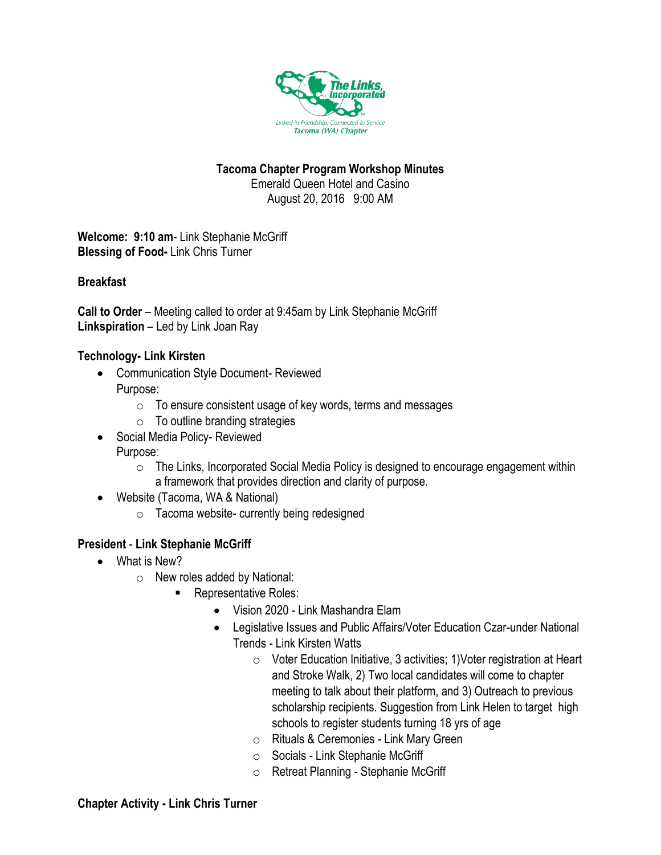

### **Tacoma Chapter Program Workshop Minutes**

Emerald Queen Hotel and Casino August 20, 2016 9:00 AM

**Welcome: 9:10 am**- Link Stephanie McGriff **Blessing of Food-** Link Chris Turner

### **Breakfast**

**Call to Order** – Meeting called to order at 9:45am by Link Stephanie McGriff **Linkspiration** – Led by Link Joan Ray

### **Technology- Link Kirsten**

- Communication Style Document- Reviewed Purpose:
	- $\circ$  To ensure consistent usage of key words, terms and messages
	- $\circ$  To outline branding strategies
- Social Media Policy- Reviewed Purpose:
	- o The Links, Incorporated Social Media Policy is designed to encourage engagement within a framework that provides direction and clarity of purpose.
- Website (Tacoma, WA & National)
	- o Tacoma website- currently being redesigned

### **President** - **Link Stephanie McGriff**

- What is New?
	- o New roles added by National:
		- **Representative Roles:** 
			- Vision 2020 Link Mashandra Elam
			- Legislative Issues and Public Affairs/Voter Education Czar-under National Trends - Link Kirsten Watts
				- o Voter Education Initiative, 3 activities; 1)Voter registration at Heart and Stroke Walk, 2) Two local candidates will come to chapter meeting to talk about their platform, and 3) Outreach to previous scholarship recipients. Suggestion from Link Helen to target high schools to register students turning 18 yrs of age
				- o Rituals & Ceremonies Link Mary Green
				- o Socials Link Stephanie McGriff
				- o Retreat Planning Stephanie McGriff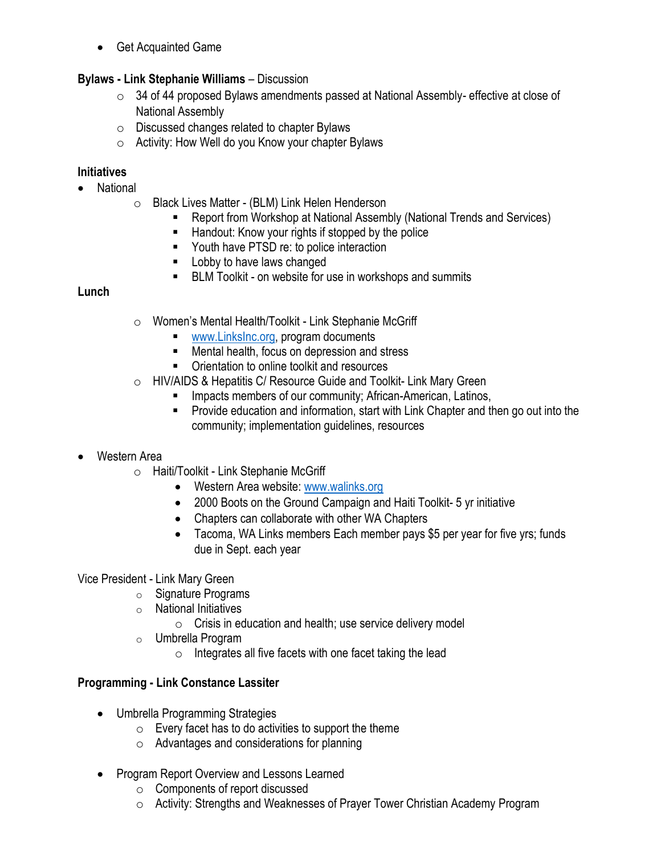• Get Acquainted Game

### **Bylaws - Link Stephanie Williams** – Discussion

- $\circ$  34 of 44 proposed Bylaws amendments passed at National Assembly- effective at close of National Assembly
- $\circ$  Discussed changes related to chapter Bylaws
- o Activity: How Well do you Know your chapter Bylaws

### **Initiatives**

- National
	- o Black Lives Matter (BLM) Link Helen Henderson
		- Report from Workshop at National Assembly (National Trends and Services)
		- Handout: Know your rights if stopped by the police
		- Youth have PTSD re: to police interaction
		- **E** Lobby to have laws changed
		- BLM Toolkit on website for use in workshops and summits

### **Lunch**

- o Women's Mental Health/Toolkit Link Stephanie McGriff
	- [www.LinksInc.org,](http://www.linksinc.org/) program documents
	- Mental health, focus on depression and stress
	- Orientation to online toolkit and resources
- o HIV/AIDS & Hepatitis C/ Resource Guide and Toolkit- Link Mary Green
	- **EXECT** Impacts members of our community; African-American, Latinos,
	- Provide education and information, start with Link Chapter and then go out into the community; implementation guidelines, resources

### • Western Area

- o Haiti/Toolkit Link Stephanie McGriff
	- Western Area website[: www.walinks.org](http://www.walinks.org/)
	- 2000 Boots on the Ground Campaign and Haiti Toolkit- 5 yr initiative
	- Chapters can collaborate with other WA Chapters
	- Tacoma, WA Links members Each member pays \$5 per year for five yrs; funds due in Sept. each year

### Vice President - Link Mary Green

- o Signature Programs
- o National Initiatives
	- o Crisis in education and health; use service delivery model
- o Umbrella Program
	- $\circ$  Integrates all five facets with one facet taking the lead

### **Programming - Link Constance Lassiter**

- Umbrella Programming Strategies
	- $\circ$  Every facet has to do activities to support the theme
	- o Advantages and considerations for planning
- Program Report Overview and Lessons Learned
	- o Components of report discussed
	- o Activity: Strengths and Weaknesses of Prayer Tower Christian Academy Program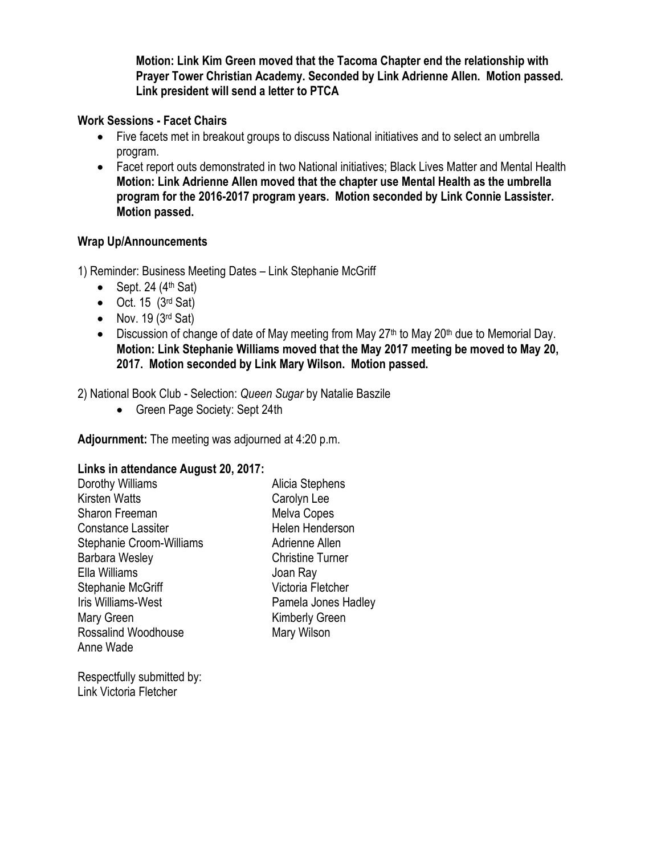**Motion: Link Kim Green moved that the Tacoma Chapter end the relationship with Prayer Tower Christian Academy. Seconded by Link Adrienne Allen. Motion passed. Link president will send a letter to PTCA**

### **Work Sessions - Facet Chairs**

- Five facets met in breakout groups to discuss National initiatives and to select an umbrella program.
- Facet report outs demonstrated in two National initiatives; Black Lives Matter and Mental Health **Motion: Link Adrienne Allen moved that the chapter use Mental Health as the umbrella program for the 2016-2017 program years. Motion seconded by Link Connie Lassister. Motion passed.**

### **Wrap Up/Announcements**

1) Reminder: Business Meeting Dates – Link Stephanie McGriff

- Sept. 24  $(4<sup>th</sup>$  Sat)
- $\bullet$  Oct. 15 (3<sup>rd</sup> Sat)
- Nov. 19  $(3<sup>rd</sup> Sat)$
- Discussion of change of date of May meeting from May 27<sup>th</sup> to May 20<sup>th</sup> due to Memorial Day. **Motion: Link Stephanie Williams moved that the May 2017 meeting be moved to May 20, 2017. Motion seconded by Link Mary Wilson. Motion passed.**

2) National Book Club - Selection: *Queen Sugar* by Natalie Baszile

• Green Page Society: Sept 24th

**Adjournment:** The meeting was adjourned at 4:20 p.m.

### **Links in attendance August 20, 2017:**

| Dorothy Williams                | Alicia Stephens         |
|---------------------------------|-------------------------|
| <b>Kirsten Watts</b>            | Carolyn Lee             |
| <b>Sharon Freeman</b>           | <b>Melva Copes</b>      |
| <b>Constance Lassiter</b>       | Helen Henderson         |
| <b>Stephanie Croom-Williams</b> | Adrienne Allen          |
| <b>Barbara Wesley</b>           | <b>Christine Turner</b> |
| Ella Williams                   | Joan Ray                |
| Stephanie McGriff               | Victoria Fletcher       |
| Iris Williams-West              | Pamela Jones Hadley     |
| Mary Green                      | <b>Kimberly Green</b>   |
| Rossalind Woodhouse             | Mary Wilson             |
| Anne Wade                       |                         |
|                                 |                         |

Respectfully submitted by: Link Victoria Fletcher